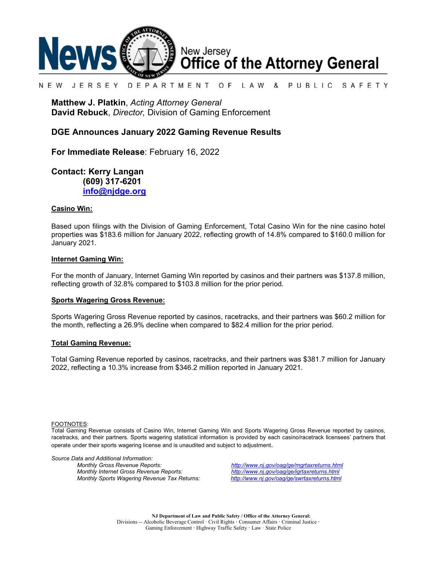

#### N F W JFRSFY DEPARTMENT O F L A W & PUBLIC SAFETY

**Matthew J. Platkin**, *Acting Attorney General* **David Rebuck**, *Director,* Division of Gaming Enforcement

### **DGE Announces January 2022 Gaming Revenue Results**

**For Immediate Release**: February 16, 2022

**Contact: Kerry Langan (609) 317-6201 [info@njdge.org](mailto:info@njdge.org)**

### **Casino Win:**

Based upon filings with the Division of Gaming Enforcement, Total Casino Win for the nine casino hotel properties was \$183.6 million for January 2022, reflecting growth of 14.8% compared to \$160.0 million for January 2021.

### **Internet Gaming Win:**

For the month of January, Internet Gaming Win reported by casinos and their partners was \$137.8 million, reflecting growth of 32.8% compared to \$103.8 million for the prior period.

#### **Sports Wagering Gross Revenue:**

Sports Wagering Gross Revenue reported by casinos, racetracks, and their partners was \$60.2 million for the month, reflecting a 26.9% decline when compared to \$82.4 million for the prior period.

### **Total Gaming Revenue:**

Total Gaming Revenue reported by casinos, racetracks, and their partners was \$381.7 million for January 2022, reflecting a 10.3% increase from \$346.2 million reported in January 2021.

FOOTNOTES:

Total Gaming Revenue consists of Casino Win, Internet Gaming Win and Sports Wagering Gross Revenue reported by casinos, racetracks, and their partners. Sports wagering statistical information is provided by each casino/racetrack licensees' partners that operate under their sports wagering license and is unaudited and subject to adjustment.

*Source Data and Additional Information:*

*Monthly Gross Revenue Reports: <http://www.nj.gov/oag/ge/mgrtaxreturns.html> Monthly Sports Wagering Revenue Tax Returns:* 

*Monthly Internet Gross Revenue Reports: <http://www.nj.gov/oag/ge/igrtaxreturns.html>*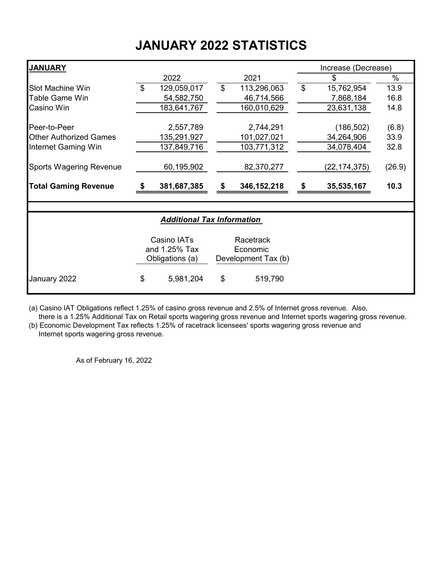# **JANUARY 2022 STATISTICS**

| <b>JANUARY</b>                 |                |                                                 |                           |                                              |                           | Increase (Decrease) |        |
|--------------------------------|----------------|-------------------------------------------------|---------------------------|----------------------------------------------|---------------------------|---------------------|--------|
|                                |                | 2022                                            |                           | 2021                                         |                           | \$                  | $\%$   |
| <b>Slot Machine Win</b>        | $\mathfrak{L}$ | 129,059,017                                     | $\mathfrak{L}$            | 113,296,063                                  | $\boldsymbol{\mathsf{S}}$ | 15,762,954          | 13.9   |
| <b>Table Game Win</b>          |                | 54,582,750                                      |                           | 46,714,566                                   |                           | 7,868,184           | 16.8   |
| Casino Win                     |                | 183,641,767                                     |                           | 160,010,629                                  |                           | 23,631,138          | 14.8   |
| Peer-to-Peer                   |                | 2,557,789                                       |                           | 2,744,291                                    |                           | (186, 502)          | (6.8)  |
| <b>Other Authorized Games</b>  |                | 135,291,927                                     |                           | 101,027,021                                  |                           | 34,264,906          | 33.9   |
| Internet Gaming Win            |                | 137,849,716                                     |                           | 103,771,312                                  |                           | 34,078,404          | 32.8   |
| <b>Sports Wagering Revenue</b> |                | 60,195,902                                      |                           | 82,370,277                                   |                           | (22, 174, 375)      | (26.9) |
| <b>Total Gaming Revenue</b>    |                | 381,687,385                                     | S.                        | 346, 152, 218                                | \$                        | 35,535,167          | 10.3   |
|                                |                |                                                 |                           |                                              |                           |                     |        |
|                                |                | <b>Additional Tax Information</b>               |                           |                                              |                           |                     |        |
|                                |                | Casino IATs<br>and 1.25% Tax<br>Obligations (a) |                           | Racetrack<br>Economic<br>Development Tax (b) |                           |                     |        |
| January 2022                   | \$             | 5,981,204                                       | $\boldsymbol{\mathsf{S}}$ | 519,790                                      |                           |                     |        |

(a) Casino IAT Obligations reflect 1.25% of casino gross revenue and 2.5% of Internet gross revenue. Also,

there is a 1.25% Additional Tax on Retail sports wagering gross revenue and Internet sports wagering gross revenue. (b) Economic Development Tax reflects 1.25% of racetrack licensees' sports wagering gross revenue and

Internet sports wagering gross revenue.

As of February 16, 2022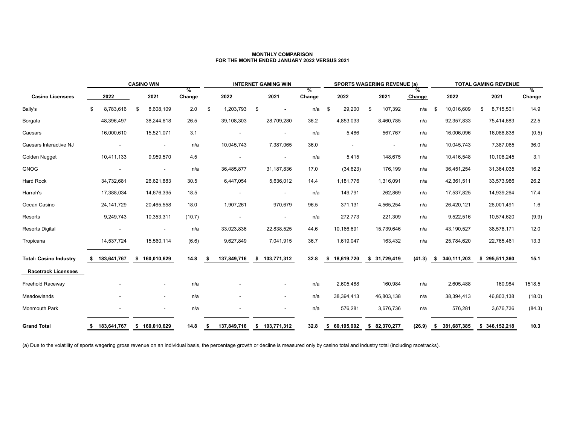|                               |    |                          | <b>CASINO WIN</b>        |             |      |             | <b>INTERNET GAMING WIN</b> |                         |     | <b>SPORTS WAGERING REVENUE (a)</b> |    |              | <b>TOTAL GAMING REVENUE</b> |    |               |    |               |                                |
|-------------------------------|----|--------------------------|--------------------------|-------------|------|-------------|----------------------------|-------------------------|-----|------------------------------------|----|--------------|-----------------------------|----|---------------|----|---------------|--------------------------------|
| <b>Casino Licensees</b>       |    | 2022                     | 2021                     | %<br>Change |      | 2022        | 2021                       | $\frac{0}{0}$<br>Change |     | 2022                               |    | 2021         | $\frac{9}{6}$<br>Change     |    | 2022          |    | 2021          | $\frac{0}{0}$<br><b>Change</b> |
| Bally's                       | \$ | 8,783,616                | \$<br>8,608,109          | 2.0         | \$   | 1,203,793   | \$                         | n/a                     | \$  | 29,200                             | \$ | 107,392      | n/a                         | \$ | 10,016,609    | \$ | 8,715,501     | 14.9                           |
| Borgata                       |    | 48,396,497               | 38,244,618               | 26.5        |      | 39,108,303  | 28,709,280                 | 36.2                    |     | 4,853,033                          |    | 8,460,785    | n/a                         |    | 92,357,833    |    | 75,414,683    | 22.5                           |
| Caesars                       |    | 16,000,610               | 15,521,071               | 3.1         |      |             |                            | n/a                     |     | 5,486                              |    | 567,767      | n/a                         |    | 16,006,096    |    | 16,088,838    | (0.5)                          |
| Caesars Interactive NJ        |    | $\overline{\phantom{a}}$ | $\sim$                   | n/a         |      | 10,045,743  | 7,387,065                  | 36.0                    |     | $\overline{\phantom{a}}$           |    | $\sim$       | n/a                         |    | 10,045,743    |    | 7,387,065     | 36.0                           |
| Golden Nugget                 |    | 10,411,133               | 9,959,570                | 4.5         |      |             |                            | n/a                     |     | 5,415                              |    | 148,675      | n/a                         |    | 10,416,548    |    | 10,108,245    | 3.1                            |
| <b>GNOG</b>                   |    | $\overline{\phantom{a}}$ | $\sim$                   | n/a         |      | 36,485,877  | 31,187,836                 | 17.0                    |     | (34, 623)                          |    | 176,199      | n/a                         |    | 36,451,254    |    | 31,364,035    | 16.2                           |
| <b>Hard Rock</b>              |    | 34,732,681               | 26,621,883               | 30.5        |      | 6,447,054   | 5,636,012                  | 14.4                    |     | 1,181,776                          |    | 1,316,091    | n/a                         |    | 42,361,511    |    | 33,573,986    | 26.2                           |
| Harrah's                      |    | 17,388,034               | 14,676,395               | 18.5        |      |             | $\sim$                     | n/a                     |     | 149,791                            |    | 262,869      | n/a                         |    | 17,537,825    |    | 14,939,264    | 17.4                           |
| Ocean Casino                  |    | 24, 141, 729             | 20,465,558               | 18.0        |      | 1,907,261   | 970,679                    | 96.5                    |     | 371,131                            |    | 4,565,254    | n/a                         |    | 26,420,121    |    | 26,001,491    | 1.6                            |
| Resorts                       |    | 9,249,743                | 10,353,311               | (10.7)      |      | $\sim$      | $\sim$                     | n/a                     |     | 272,773                            |    | 221,309      | n/a                         |    | 9,522,516     |    | 10,574,620    | (9.9)                          |
| <b>Resorts Digital</b>        |    |                          |                          | n/a         |      | 33,023,836  | 22,838,525                 | 44.6                    |     | 10,166,691                         |    | 15,739,646   | n/a                         |    | 43,190,527    |    | 38,578,171    | 12.0                           |
| Tropicana                     |    | 14,537,724               | 15,560,114               | (6.6)       |      | 9,627,849   | 7,041,915                  | 36.7                    |     | 1,619,047                          |    | 163,432      | n/a                         |    | 25,784,620    |    | 22,765,461    | 13.3                           |
| <b>Total: Casino Industry</b> |    | 183,641,767              | \$160,010,629            | 14.8        | - \$ | 137,849,716 | \$<br>103,771,312          | 32.8                    | SS. | 18,619,720                         |    | \$31,729,419 | (41.3)                      |    | \$340,111,203 |    | \$295,511,360 | 15.1                           |
| <b>Racetrack Licensees</b>    |    |                          |                          |             |      |             |                            |                         |     |                                    |    |              |                             |    |               |    |               |                                |
| <b>Freehold Raceway</b>       |    |                          | $\overline{\phantom{a}}$ | n/a         |      |             | $\sim$                     | n/a                     |     | 2,605,488                          |    | 160,984      | n/a                         |    | 2,605,488     |    | 160,984       | 1518.5                         |
| Meadowlands                   |    | $\overline{\phantom{a}}$ | $\sim$                   | n/a         |      | $\sim$      | $\sim$                     | n/a                     |     | 38,394,413                         |    | 46,803,138   | n/a                         |    | 38,394,413    |    | 46,803,138    | (18.0)                         |
| <b>Monmouth Park</b>          |    | $\overline{\phantom{a}}$ | $\sim$                   | n/a         |      |             | $\sim$                     | n/a                     |     | 576,281                            |    | 3,676,736    | n/a                         |    | 576,281       |    | 3,676,736     | (84.3)                         |
| <b>Grand Total</b>            | S. | 183,641,767              | \$160,010,629            | 14.8        | \$   | 137,849,716 | \$ 103,771,312             | 32.8                    |     | \$60,195,902                       |    | \$82,370,277 | (26.9)                      | \$ | 381,687,385   |    | \$346,152,218 | 10.3                           |

(a) Due to the volatility of sports wagering gross revenue on an individual basis, the percentage growth or decline is measured only by casino total and industry total (including racetracks).

### **MONTHLY COMPARISON FOR THE MONTH ENDED JANUARY 2022 VERSUS 2021**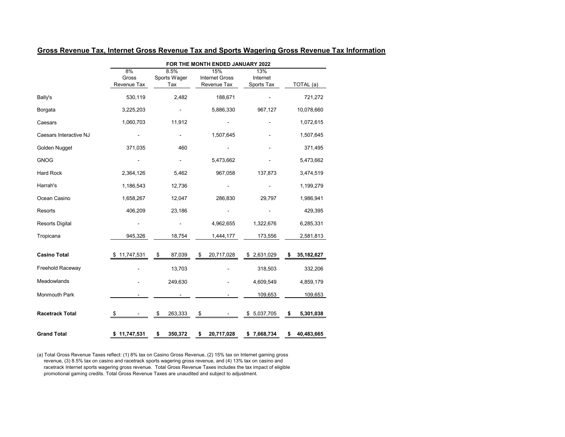# **Gross Revenue Tax, Internet Gross Revenue Tax and Sports Wagering Gross Revenue Tax Information**

|                         | FOR THE MONTH ENDED JANUARY 2022 |                             |                                             |                                      |                    |  |  |  |  |
|-------------------------|----------------------------------|-----------------------------|---------------------------------------------|--------------------------------------|--------------------|--|--|--|--|
|                         | 8%<br>Gross<br>Revenue Tax       | 8.5%<br>Sports Wager<br>Tax | 15%<br><b>Internet Gross</b><br>Revenue Tax | 13%<br>Internet<br><b>Sports Tax</b> | TOTAL (a)          |  |  |  |  |
| Bally's                 | 530,119                          | 2,482                       | 188,671                                     |                                      | 721,272            |  |  |  |  |
| <b>Borgata</b>          | 3,225,203                        |                             | 5,886,330                                   | 967,127                              | 10,078,660         |  |  |  |  |
| Caesars                 | 1,060,703                        | 11,912                      |                                             |                                      | 1,072,615          |  |  |  |  |
| Caesars Interactive NJ  |                                  |                             | 1,507,645                                   |                                      | 1,507,645          |  |  |  |  |
| Golden Nugget           | 371,035                          | 460                         |                                             |                                      | 371,495            |  |  |  |  |
| <b>GNOG</b>             |                                  |                             | 5,473,662                                   |                                      | 5,473,662          |  |  |  |  |
| <b>Hard Rock</b>        | 2,364,126                        | 5,462                       | 967,058                                     | 137,873                              | 3,474,519          |  |  |  |  |
| Harrah's                | 1,186,543                        | 12,736                      |                                             |                                      | 1,199,279          |  |  |  |  |
| Ocean Casino            | 1,658,267                        | 12,047                      | 286,830                                     | 29,797                               | 1,986,941          |  |  |  |  |
| Resorts                 | 406,209                          | 23,186                      |                                             |                                      | 429,395            |  |  |  |  |
| <b>Resorts Digital</b>  |                                  |                             | 4,962,655                                   | 1,322,676                            | 6,285,331          |  |  |  |  |
| Tropicana               | 945,326                          | 18,754                      | 1,444,177                                   | 173,556                              | 2,581,813          |  |  |  |  |
| <b>Casino Total</b>     | \$11,747,531                     | 87,039<br>\$                | 20,717,028<br>$\boldsymbol{\mathsf{\$}}$    | \$2,631,029                          | 35, 182, 627<br>\$ |  |  |  |  |
| <b>Freehold Raceway</b> |                                  | 13,703                      |                                             | 318,503                              | 332,206            |  |  |  |  |
| Meadowlands             |                                  | 249,630                     |                                             | 4,609,549                            | 4,859,179          |  |  |  |  |
| <b>Monmouth Park</b>    |                                  |                             |                                             | 109,653                              | 109,653            |  |  |  |  |
| <b>Racetrack Total</b>  | \$                               | 263,333<br>\$               | \$                                          | \$5,037,705                          | 5,301,038<br>\$    |  |  |  |  |
| <b>Grand Total</b>      | \$11,747,531                     | 350,372<br>\$               | 20,717,028<br>\$                            | \$7,668,734                          | 40,483,665<br>\$   |  |  |  |  |

(a) Total Gross Revenue Taxes reflect: (1) 8% tax on Casino Gross Revenue, (2) 15% tax on Internet gaming gross revenue, (3) 8.5% tax on casino and racetrack sports wagering gross revenue, and (4) 13% tax on casino and racetrack Internet sports wagering gross revenue. Total Gross Revenue Taxes includes the tax impact of eligible promotional gaming credits. Total Gross Revenue Taxes are unaudited and subject to adjustment.